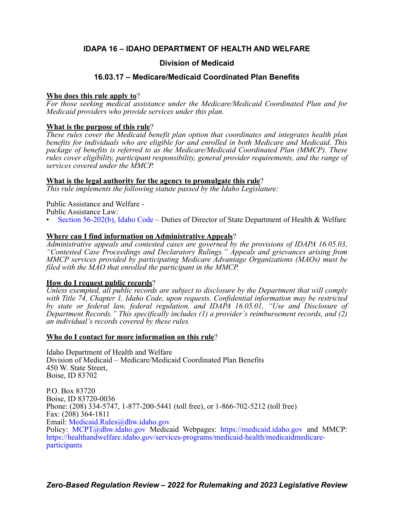# **IDAPA 16 – IDAHO DEPARTMENT OF HEALTH AND WELFARE**

# **Division of Medicaid**

# **16.03.17 – Medicare/Medicaid Coordinated Plan Benefits**

# **Who does this rule apply to**?

*For those seeking medical assistance under the Medicare/Medicaid Coordinated Plan and for Medicaid providers who provide services under this plan.*

# **What is the purpose of this rule**?

*These rules cover the Medicaid benefit plan option that coordinates and integrates health plan benefits for individuals who are eligible for and enrolled in both Medicare and Medicaid. This package of benefits is referred to as the Medicare/Medicaid Coordinated Plan (MMCP). These rules cover eligibility, participant responsibility, general provider requirements, and the range of services covered under the MMCP.*

# **What is the legal authority for the agency to promulgate this rule**?

*This rule implements the following statute passed by the Idaho Legislature:*

Public Assistance and Welfare - Public Assistance Law:

• [Section 56-202\(b\), Idaho Code](https://legislature.idaho.gov/statutesrules/idstat/Title56/T56CH2/SECT56-202/) – Duties of Director of State Department of Health & Welfare

# **Where can I find information on Administrative Appeals**?

*Administrative appeals and contested cases are governed by the provisions of IDAPA 16.05.03, "Contested Case Proceedings and Declaratory Rulings." Appeals and grievances arising from MMCP services provided by participating Medicare Advantage Organizations (MAOs) must be filed with the MAO that enrolled the participant in the MMCP.*

# **How do I request public records**?

*Unless exempted, all public records are subject to disclosure by the Department that will comply with Title 74, Chapter 1, Idaho Code, upon requests. Confidential information may be restricted by state or federal law, federal regulation, and IDAPA 16.05.01, "Use and Disclosure of Department Records." This specifically includes (1) a provider's reimbursement records, and (2) an individual's records covered by these rules.*

# **Who do I contact for more information on this rule**?

Idaho Department of Health and Welfare Division of Medicaid – Medicare/Medicaid Coordinated Plan Benefits 450 W. State Street, Boise, ID 83702

P.O. Box 83720 Boise, ID 83720-0036 Phone: (208) 334-5747, 1-877-200-5441 (toll free), or 1-866-702-5212 (toll free) Fax: (208) 364-1811 Email: [Medicaid.Rules@dhw.idaho.gov](mailto:Medicaid.Rules@dhw.idaho.gov) Policy: [MCPT@dhw.idaho.gov M](mailto: MCPT@dhw.idaho.gov)edicaid Webpages: [https://medicaid.idaho.gov](http://medicaid.idaho.gov/) and MMCP: [https://healthandwelfare.idaho.gov/services-programs/medicaid-health/medicaidmedicare](https://healthandwelfare.idaho.gov/services-programs/medicaid-health/medicaidmedicare-participants)participants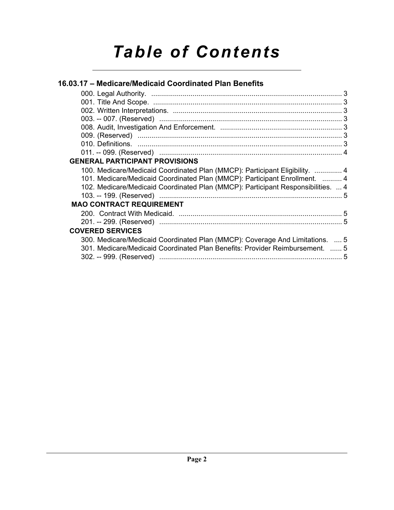# *Table of Contents*

| 16.03.17 - Medicare/Medicaid Coordinated Plan Benefits                                                                                                       |  |
|--------------------------------------------------------------------------------------------------------------------------------------------------------------|--|
|                                                                                                                                                              |  |
|                                                                                                                                                              |  |
|                                                                                                                                                              |  |
|                                                                                                                                                              |  |
|                                                                                                                                                              |  |
|                                                                                                                                                              |  |
|                                                                                                                                                              |  |
|                                                                                                                                                              |  |
| <b>GENERAL PARTICIPANT PROVISIONS</b>                                                                                                                        |  |
| 100. Medicare/Medicaid Coordinated Plan (MMCP): Participant Eligibility.  4                                                                                  |  |
| 101. Medicare/Medicaid Coordinated Plan (MMCP): Participant Enrollment.  4                                                                                   |  |
| 102. Medicare/Medicaid Coordinated Plan (MMCP): Participant Responsibilities.  4                                                                             |  |
|                                                                                                                                                              |  |
| <b>MAO CONTRACT REQUIREMENT</b>                                                                                                                              |  |
|                                                                                                                                                              |  |
|                                                                                                                                                              |  |
| <b>COVERED SERVICES</b>                                                                                                                                      |  |
| 300. Medicare/Medicaid Coordinated Plan (MMCP): Coverage And Limitations.  5<br>301. Medicare/Medicaid Coordinated Plan Benefits: Provider Reimbursement.  5 |  |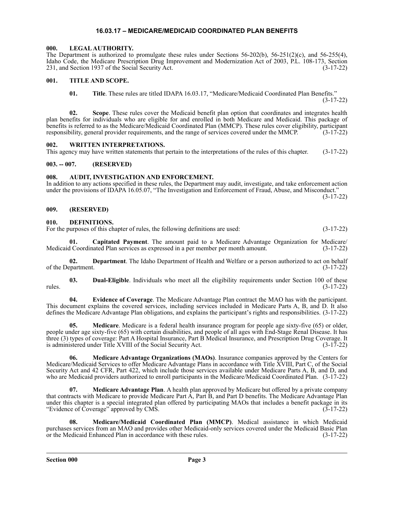### **16.03.17 – MEDICARE/MEDICAID COORDINATED PLAN BENEFITS**

#### <span id="page-2-1"></span><span id="page-2-0"></span>**000. LEGAL AUTHORITY.**

The Department is authorized to promulgate these rules under Sections  $56-202(b)$ ,  $56-251(2)(c)$ , and  $56-255(4)$ , Idaho Code, the Medicare Prescription Drug Improvement and Modernization Act of 2003, P.L. 108-173, Section 231, and Section 1937 of the Social Security Act. (3-17-22) 231, and Section 1937 of the Social Security Act.

#### <span id="page-2-2"></span>**001. TITLE AND SCOPE.**

**01. Title**. These rules are titled IDAPA 16.03.17, "Medicare/Medicaid Coordinated Plan Benefits."

(3-17-22)

**02. Scope**. These rules cover the Medicaid benefit plan option that coordinates and integrates health plan benefits for individuals who are eligible for and enrolled in both Medicare and Medicaid. This package of benefits is referred to as the Medicare/Medicaid Coordinated Plan (MMCP). These rules cover eligibility, participant responsibility, general provider requirements, and the range of services covered under the MMCP. (3-17-22)

#### <span id="page-2-3"></span>**002. WRITTEN INTERPRETATIONS.**

This agency may have written statements that pertain to the interpretations of the rules of this chapter. (3-17-22)

#### <span id="page-2-4"></span>**003. -- 007. (RESERVED)**

#### <span id="page-2-5"></span>**008. AUDIT, INVESTIGATION AND ENFORCEMENT.**

In addition to any actions specified in these rules, the Department may audit, investigate, and take enforcement action under the provisions of IDAPA 16.05.07, "The Investigation and Enforcement of Fraud, Abuse, and Misconduct." (3-17-22)

#### <span id="page-2-6"></span>**009. (RESERVED)**

#### <span id="page-2-7"></span>**010. DEFINITIONS.**

For the purposes of this chapter of rules, the following definitions are used:  $(3-17-22)$ 

**01. Capitated Payment**. The amount paid to a Medicare Advantage Organization for Medicare/ Medicaid Coordinated Plan services as expressed in a per member per month amount. (3-17-22)

**02. Department**. The Idaho Department of Health and Welfare or a person authorized to act on behalf partment. (3-17-22) of the Department.

**03. Dual-Eligible**. Individuals who meet all the eligibility requirements under Section 100 of these rules. (3-17-22)

**04. Evidence of Coverage**. The Medicare Advantage Plan contract the MAO has with the participant. This document explains the covered services, including services included in Medicare Parts A, B, and D. It also defines the Medicare Advantage Plan obligations, and explains the participant's rights and responsibilities. (3-17-22)

**05. Medicare**. Medicare is a federal health insurance program for people age sixty-five (65) or older, people under age sixty-five (65) with certain disabilities, and people of all ages with End-Stage Renal Disease. It has three (3) types of coverage: Part A Hospital Insurance, Part B Medical Insurance, and Prescription Drug Coverage. It is administered under Title XVIII of the Social Security Act. (3-17-22)

**06. Medicare Advantage Organizations (MAOs)**. Insurance companies approved by the Centers for Medicare/Medicaid Services to offer Medicare Advantage Plans in accordance with Title XVIII, Part C, of the Social Security Act and 42 CFR, Part 422, which include those services available under Medicare Parts A, B, and D, and who are Medicaid providers authorized to enroll participants in the Medicare/Medicaid Coordinated Plan. (3-17-22)

**07. Medicare Advantage Plan**. A health plan approved by Medicare but offered by a private company that contracts with Medicare to provide Medicare Part A, Part B, and Part D benefits. The Medicare Advantage Plan under this chapter is a special integrated plan offered by participating MAOs that includes a benefit package in its "Evidence of Coverage" approved by CMS. (3-17-22)

**08. Medicare/Medicaid Coordinated Plan (MMCP)**. Medical assistance in which Medicaid purchases services from an MAO and provides other Medicaid-only services covered under the Medicaid Basic Plan<br>or the Medicaid Enhanced Plan in accordance with these rules. (3-17-22) or the Medicaid Enhanced Plan in accordance with these rules.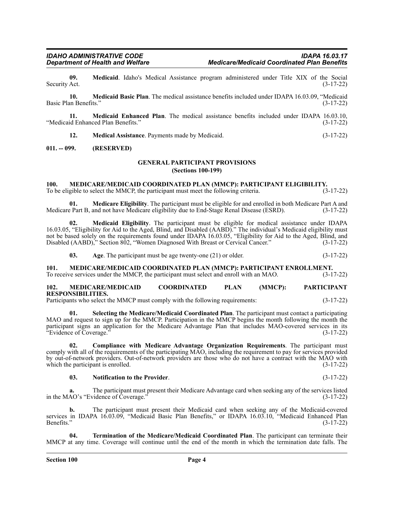**09. Medicaid**. Idaho's Medical Assistance program administered under Title XIX of the Social Act. (3-17-22) Security Act.

**10. Medicaid Basic Plan**. The medical assistance benefits included under IDAPA 16.03.09, "Medicaid Basic Plan Benefits." (3-17-22)

**11. Medicaid Enhanced Plan**. The medical assistance benefits included under IDAPA 16.03.10, "Medicaid Enhanced Plan Benefits."

**12. Medical Assistance**. Payments made by Medicaid. (3-17-22)

#### <span id="page-3-1"></span><span id="page-3-0"></span>**011. -- 099. (RESERVED)**

#### **GENERAL PARTICIPANT PROVISIONS (Sections 100-199)**

#### <span id="page-3-2"></span>**100. MEDICARE/MEDICAID COORDINATED PLAN (MMCP): PARTICIPANT ELIGIBILITY.**

To be eligible to select the MMCP, the participant must meet the following criteria. (3-17-22)

**01. Medicare Eligibility**. The participant must be eligible for and enrolled in both Medicare Part A and Medicare Part B, and not have Medicare eligibility due to End-Stage Renal Disease (ESRD). (3-17-22)

**02. Medicaid Eligibility**. The participant must be eligible for medical assistance under IDAPA 16.03.05, "Eligibility for Aid to the Aged, Blind, and Disabled (AABD)." The individual's Medicaid eligibility must not be based solely on the requirements found under IDAPA 16.03.05, "Eligibility for Aid to the Aged, Blind, and Disabled (AABD)," Section 802, "Women Diagnosed With Breast or Cervical Cancer." (3-17-22)

**03.** Age. The participant must be age twenty-one (21) or older. (3-17-22)

<span id="page-3-3"></span>**101. MEDICARE/MEDICAID COORDINATED PLAN (MMCP): PARTICIPANT ENROLLMENT.**<br>To receive services under the MMCP, the participant must select and enroll with an MAO. (3-17-22) To receive services under the MMCP, the participant must select and enroll with an MAO.

<span id="page-3-4"></span>**102. MEDICARE/MEDICAID COORDINATED PLAN (MMCP): PARTICIPANT RESPONSIBILITIES.**

Participants who select the MMCP must comply with the following requirements: (3-17-22)

**01. Selecting the Medicare/Medicaid Coordinated Plan**. The participant must contact a participating MAO and request to sign up for the MMCP. Participation in the MMCP begins the month following the month the participant signs an application for the Medicare Advantage Plan that includes MAO-covered services in its "Evidence of Coverage." (3-17-22)

**02. Compliance with Medicare Advantage Organization Requirements**. The participant must comply with all of the requirements of the participating MAO, including the requirement to pay for services provided by out-of-network providers. Out-of-network providers are those who do not have a contract with the MAO with which the participant is enrolled. (3-17-22)

#### **03. Notification to the Provider**. (3-17-22)

**a.** The participant must present their Medicare Advantage card when seeking any of the services listed AO's "Evidence of Coverage." (3-17-22) in the MAO's "Evidence of Coverage."

**b.** The participant must present their Medicaid card when seeking any of the Medicaid-covered services in IDAPA 16.03.09, "Medicaid Basic Plan Benefits," or IDAPA 16.03.10, "Medicaid Enhanced Plan Benefits." (3-17-22)

**04. Termination of the Medicare/Medicaid Coordinated Plan**. The participant can terminate their MMCP at any time. Coverage will continue until the end of the month in which the termination date falls. The